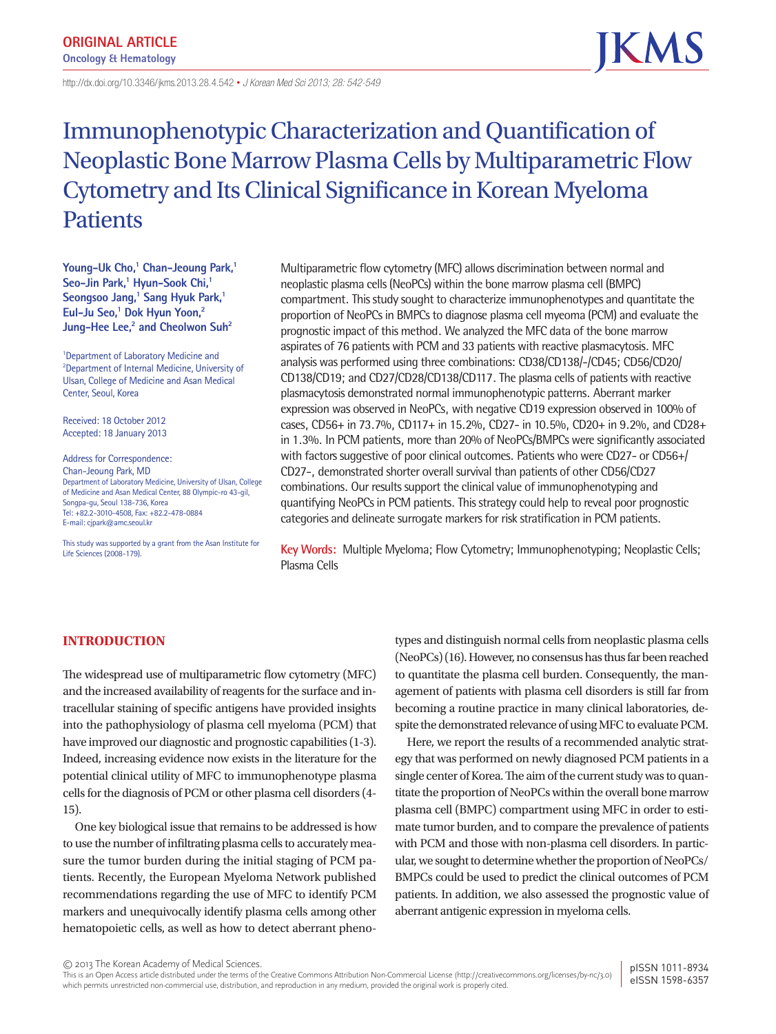http://dx.doi.org/10.3346/ jkms.2013.28.4.542 • *J Korean Med Sci 2013; 28: 542-549*

# **Oncology & Hematology**

# Immunophenotypic Characterization and Quantification of Neoplastic Bone Marrow Plasma Cells by Multiparametric Flow Cytometry and Its Clinical Significance in Korean Myeloma **Patients**

**Young-Uk Cho,1 Chan-Jeoung Park,1 Seo-Jin Park,1 Hyun-Sook Chi,1** Seongsoo Jang,<sup>1</sup> Sang Hyuk Park,<sup>1</sup> **Eul-Ju Seo,1 Dok Hyun Yoon,2** Jung-Hee Lee,<sup>2</sup> and Cheolwon Suh<sup>2</sup>

1 Department of Laboratory Medicine and <sup>2</sup>Department of Internal Medicine, University of Ulsan, College of Medicine and Asan Medical Center, Seoul, Korea

Received: 18 October 2012 Accepted: 18 January 2013

Address for Correspondence: Chan-Jeoung Park, MD Department of Laboratory Medicine, University of Ulsan, College of Medicine and Asan Medical Center, 88 Olympic-ro 43-gil, Songpa-gu, Seoul 138-736, Korea Tel: +82.2-3010-4508, Fax: +82.2-478-0884 E-mail: cjpark@amc.seoul.kr

This study was supported by a grant from the Asan Institute for Life Sciences (2008-179).

Multiparametric flow cytometry (MFC) allows discrimination between normal and neoplastic plasma cells (NeoPCs) within the bone marrow plasma cell (BMPC) compartment. This study sought to characterize immunophenotypes and quantitate the proportion of NeoPCs in BMPCs to diagnose plasma cell myeoma (PCM) and evaluate the prognostic impact of this method. We analyzed the MFC data of the bone marrow aspirates of 76 patients with PCM and 33 patients with reactive plasmacytosis. MFC analysis was performed using three combinations: CD38/CD138/-/CD45; CD56/CD20/ CD138/CD19; and CD27/CD28/CD138/CD117. The plasma cells of patients with reactive plasmacytosis demonstrated normal immunophenotypic patterns. Aberrant marker expression was observed in NeoPCs, with negative CD19 expression observed in 100% of cases, CD56+ in 73.7%, CD117+ in 15.2%, CD27- in 10.5%, CD20+ in 9.2%, and CD28+ in 1.3%. In PCM patients, more than 20% of NeoPCs/BMPCs were significantly associated with factors suggestive of poor clinical outcomes. Patients who were CD27- or CD56+/ CD27-, demonstrated shorter overall survival than patients of other CD56/CD27 combinations. Our results support the clinical value of immunophenotyping and quantifying NeoPCs in PCM patients. This strategy could help to reveal poor prognostic categories and delineate surrogate markers for risk stratification in PCM patients.

**Key Words:** Multiple Myeloma; Flow Cytometry; Immunophenotyping; Neoplastic Cells; Plasma Cells

# **INTRODUCTION**

The widespread use of multiparametric flow cytometry (MFC) and the increased availability of reagents for the surface and intracellular staining of specific antigens have provided insights into the pathophysiology of plasma cell myeloma (PCM) that have improved our diagnostic and prognostic capabilities (1-3). Indeed, increasing evidence now exists in the literature for the potential clinical utility of MFC to immunophenotype plasma cells for the diagnosis of PCM or other plasma cell disorders (4- 15).

One key biological issue that remains to be addressed is how to use the number of infiltrating plasma cells to accurately measure the tumor burden during the initial staging of PCM patients. Recently, the European Myeloma Network published recommendations regarding the use of MFC to identify PCM markers and unequivocally identify plasma cells among other hematopoietic cells, as well as how to detect aberrant pheno-

types and distinguish normal cells from neoplastic plasma cells (NeoPCs) (16). However, no consensus has thus far been reached to quantitate the plasma cell burden. Consequently, the management of patients with plasma cell disorders is still far from becoming a routine practice in many clinical laboratories, despite the demonstrated relevance of using MFC to evaluate PCM.

Here, we report the results of a recommended analytic strategy that was performed on newly diagnosed PCM patients in a single center of Korea. The aim of the current study was to quantitate the proportion of NeoPCs within the overall bone marrow plasma cell (BMPC) compartment using MFC in order to estimate tumor burden, and to compare the prevalence of patients with PCM and those with non-plasma cell disorders. In particular, we sought to determine whether the proportion of NeoPCs/ BMPCs could be used to predict the clinical outcomes of PCM patients. In addition, we also assessed the prognostic value of aberrant antigenic expression in myeloma cells.

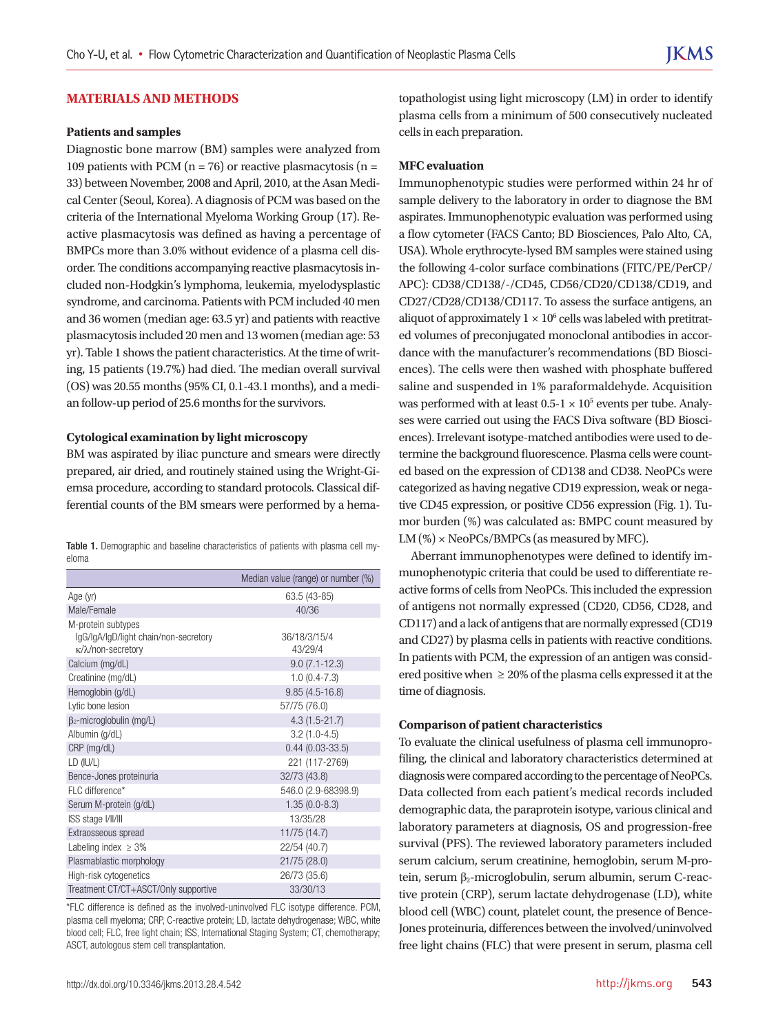#### **MATERIALS AND METHODS**

#### **Patients and samples**

Diagnostic bone marrow (BM) samples were analyzed from 109 patients with PCM ( $n = 76$ ) or reactive plasmacytosis ( $n =$ 33) between November, 2008 and April, 2010, at the Asan Medical Center (Seoul, Korea). A diagnosis of PCM was based on the criteria of the International Myeloma Working Group (17). Reactive plasmacytosis was defined as having a percentage of BMPCs more than 3.0% without evidence of a plasma cell disorder. The conditions accompanying reactive plasmacytosis included non-Hodgkin's lymphoma, leukemia, myelodysplastic syndrome, and carcinoma. Patients with PCM included 40 men and 36 women (median age: 63.5 yr) and patients with reactive plasmacytosis included 20 men and 13 women (median age: 53 yr). Table 1 shows the patient characteristics. At the time of writing, 15 patients (19.7%) had died. The median overall survival (OS) was 20.55 months (95% CI, 0.1-43.1 months), and a median follow-up period of 25.6 months for the survivors.

#### **Cytological examination by light microscopy**

BM was aspirated by iliac puncture and smears were directly prepared, air dried, and routinely stained using the Wright-Giemsa procedure, according to standard protocols. Classical differential counts of the BM smears were performed by a hema-

Table 1. Demographic and baseline characteristics of patients with plasma cell myeloma

|                                                                                  | Median value (range) or number (%) |
|----------------------------------------------------------------------------------|------------------------------------|
| Age (yr)                                                                         | 63.5 (43-85)                       |
| Male/Female                                                                      | 40/36                              |
| M-protein subtypes<br>IgG/IgA/IgD/Iight chain/non-secretory<br>κ/λ/non-secretory | 36/18/3/15/4<br>43/29/4            |
| Calcium (mg/dL)                                                                  | $9.0(7.1 - 12.3)$                  |
| Creatinine (mg/dL)                                                               | $1.0(0.4-7.3)$                     |
| Hemoglobin (g/dL)                                                                | $9.85(4.5-16.8)$                   |
| Lytic bone lesion                                                                | 57/75 (76.0)                       |
| $\beta_2$ -microglobulin (mg/L)                                                  | $4.3(1.5-21.7)$                    |
| Albumin (g/dL)                                                                   | $3.2(1.0-4.5)$                     |
| CRP (mg/dL)                                                                      | $0.44(0.03-33.5)$                  |
| $LD$ ( $UVL$ )                                                                   | 221 (117-2769)                     |
| Bence-Jones proteinuria                                                          | 32/73 (43.8)                       |
| FLC difference*                                                                  | 546.0 (2.9-68398.9)                |
| Serum M-protein (g/dL)                                                           | $1.35(0.0-8.3)$                    |
| ISS stage I/II/III                                                               | 13/35/28                           |
| Extraosseous spread                                                              | 11/75 (14.7)                       |
| Labeling index $\geq 3\%$                                                        | 22/54 (40.7)                       |
| Plasmablastic morphology                                                         | 21/75 (28.0)                       |
| High-risk cytogenetics                                                           | 26/73 (35.6)                       |
| Treatment CT/CT+ASCT/Only supportive                                             | 33/30/13                           |

\*FLC difference is defined as the involved-uninvolved FLC isotype difference. PCM, plasma cell myeloma; CRP, C-reactive protein; LD, lactate dehydrogenase; WBC, white blood cell; FLC, free light chain; ISS, International Staging System; CT, chemotherapy; ASCT, autologous stem cell transplantation.

topathologist using light microscopy (LM) in order to identify plasma cells from a minimum of 500 consecutively nucleated cells in each preparation.

#### **MFC evaluation**

Immunophenotypic studies were performed within 24 hr of sample delivery to the laboratory in order to diagnose the BM aspirates. Immunophenotypic evaluation was performed using a flow cytometer (FACS Canto; BD Biosciences, Palo Alto, CA, USA). Whole erythrocyte-lysed BM samples were stained using the following 4-color surface combinations (FITC/PE/PerCP/ APC): CD38/CD138/-/CD45, CD56/CD20/CD138/CD19, and CD27/CD28/CD138/CD117. To assess the surface antigens, an aliquot of approximately  $1 \times 10^6$  cells was labeled with pretitrated volumes of preconjugated monoclonal antibodies in accordance with the manufacturer's recommendations (BD Biosciences). The cells were then washed with phosphate buffered saline and suspended in 1% paraformaldehyde. Acquisition was performed with at least  $0.5-1 \times 10^5$  events per tube. Analyses were carried out using the FACS Diva software (BD Biosciences). Irrelevant isotype-matched antibodies were used to determine the background fluorescence. Plasma cells were counted based on the expression of CD138 and CD38. NeoPCs were categorized as having negative CD19 expression, weak or negative CD45 expression, or positive CD56 expression (Fig. 1). Tumor burden (%) was calculated as: BMPC count measured by  $LM$  (%)  $\times$  NeoPCs/BMPCs (as measured by MFC).

Aberrant immunophenotypes were defined to identify immunophenotypic criteria that could be used to differentiate reactive forms of cells from NeoPCs. This included the expression of antigens not normally expressed (CD20, CD56, CD28, and CD117) and a lack of antigens that are normally expressed (CD19 and CD27) by plasma cells in patients with reactive conditions. In patients with PCM, the expression of an antigen was considered positive when  $\geq 20\%$  of the plasma cells expressed it at the time of diagnosis.

#### **Comparison of patient characteristics**

To evaluate the clinical usefulness of plasma cell immunoprofiling, the clinical and laboratory characteristics determined at diagnosis were compared according to the percentage of NeoPCs. Data collected from each patient's medical records included demographic data, the paraprotein isotype, various clinical and laboratory parameters at diagnosis, OS and progression-free survival (PFS). The reviewed laboratory parameters included serum calcium, serum creatinine, hemoglobin, serum M-protein, serum β<sub>2</sub>-microglobulin, serum albumin, serum C-reactive protein (CRP), serum lactate dehydrogenase (LD), white blood cell (WBC) count, platelet count, the presence of Bence-Jones proteinuria, differences between the involved/uninvolved free light chains (FLC) that were present in serum, plasma cell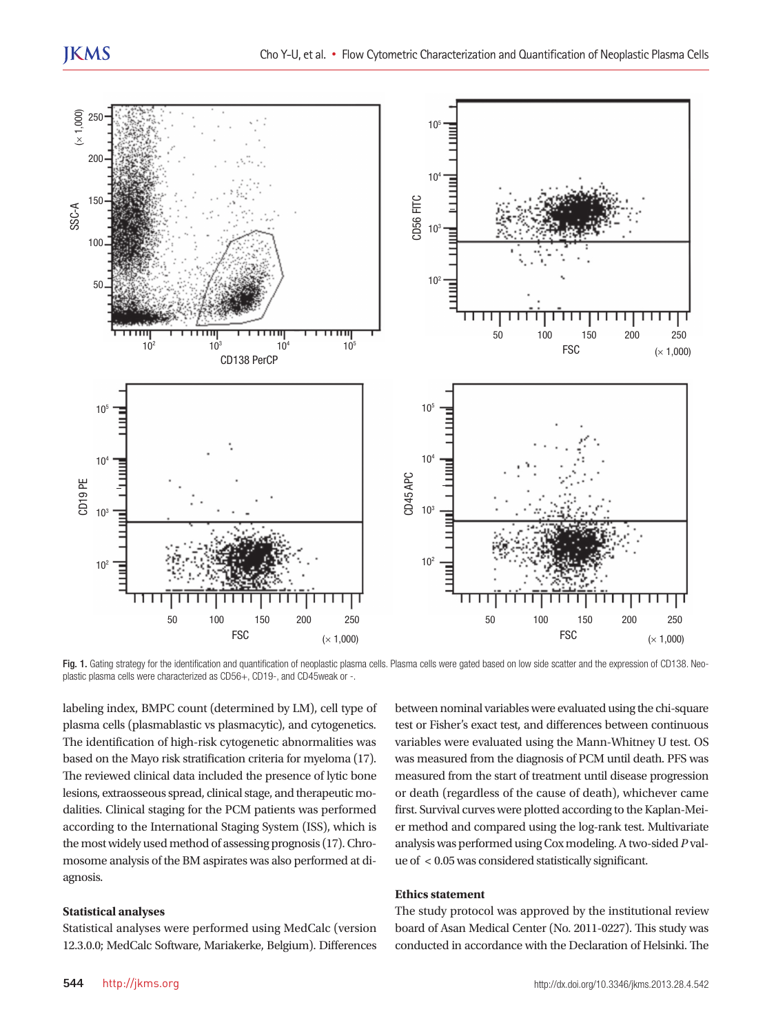

Fig. 1. Gating strategy for the identification and quantification of neoplastic plasma cells. Plasma cells were gated based on low side scatter and the expression of CD138. Neo-

labeling index, BMPC count (determined by LM), cell type of plasma cells (plasmablastic vs plasmacytic), and cytogenetics. The identification of high-risk cytogenetic abnormalities was based on the Mayo risk stratification criteria for myeloma (17). The reviewed clinical data included the presence of lytic bone lesions, extraosseous spread, clinical stage, and therapeutic modalities. Clinical staging for the PCM patients was performed according to the International Staging System (ISS), which is the most widely used method of assessing prognosis (17). Chromosome analysis of the BM aspirates was also performed at diagnosis.

#### **Statistical analyses**

Statistical analyses were performed using MedCalc (version 12.3.0.0; MedCalc Software, Mariakerke, Belgium). Differences between nominal variables were evaluated using the chi-square test or Fisher's exact test, and differences between continuous variables were evaluated using the Mann-Whitney U test. OS was measured from the diagnosis of PCM until death. PFS was measured from the start of treatment until disease progression or death (regardless of the cause of death), whichever came first. Survival curves were plotted according to the Kaplan-Meier method and compared using the log-rank test. Multivariate analysis was performed using Cox modeling. A two-sided *P* value of < 0.05 was considered statistically significant.

## **Ethics statement**

The study protocol was approved by the institutional review board of Asan Medical Center (No. 2011-0227). This study was conducted in accordance with the Declaration of Helsinki. The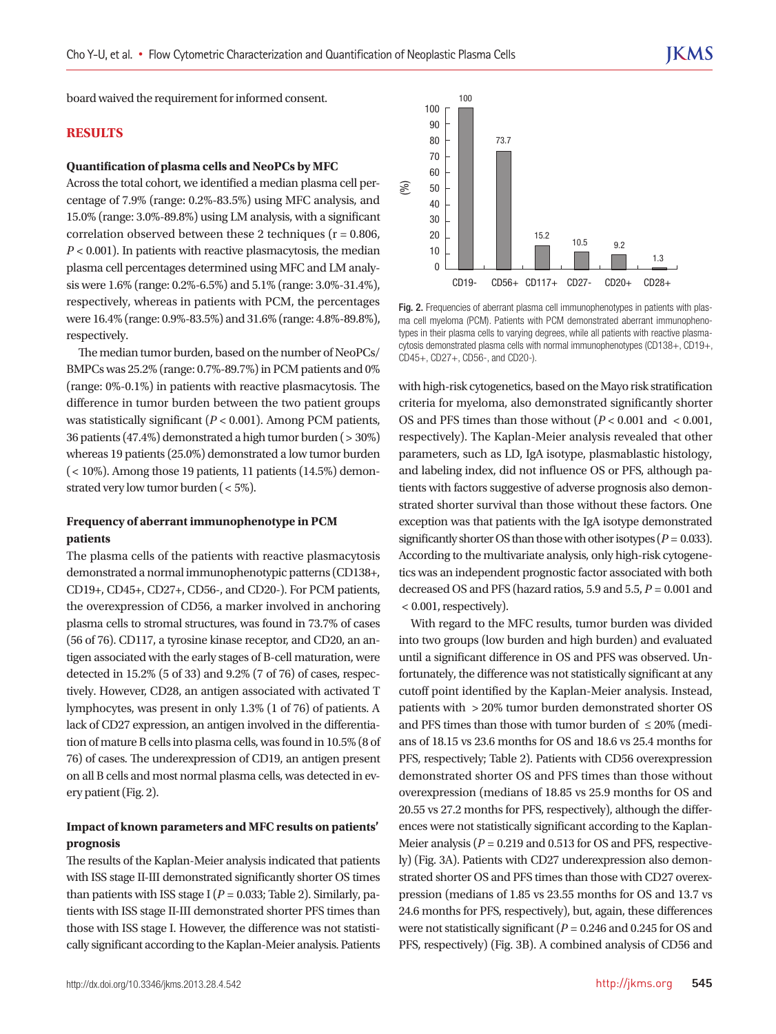board waived the requirement for informed consent.

#### **RESULTS**

#### **Quantification of plasma cells and NeoPCs by MFC**

Across the total cohort, we identified a median plasma cell percentage of 7.9% (range: 0.2%-83.5%) using MFC analysis, and 15.0% (range: 3.0%-89.8%) using LM analysis, with a significant correlation observed between these 2 techniques ( $r = 0.806$ , *P* < 0.001). In patients with reactive plasmacytosis, the median plasma cell percentages determined using MFC and LM analysis were 1.6% (range: 0.2%-6.5%) and 5.1% (range: 3.0%-31.4%), respectively, whereas in patients with PCM, the percentages were 16.4% (range: 0.9%-83.5%) and 31.6% (range: 4.8%-89.8%), respectively.

The median tumor burden, based on the number of NeoPCs/ BMPCs was 25.2% (range: 0.7%-89.7%) in PCM patients and 0% (range: 0%-0.1%) in patients with reactive plasmacytosis. The difference in tumor burden between the two patient groups was statistically significant (*P* < 0.001). Among PCM patients, 36 patients (47.4%) demonstrated a high tumor burden (> 30%) whereas 19 patients (25.0%) demonstrated a low tumor burden  $(< 10\%)$ . Among those 19 patients, 11 patients  $(14.5\%)$  demonstrated very low tumor burden (< 5%).

#### **Frequency of aberrant immunophenotype in PCM patients**

The plasma cells of the patients with reactive plasmacytosis demonstrated a normal immunophenotypic patterns (CD138+, CD19+, CD45+, CD27+, CD56-, and CD20-). For PCM patients, the overexpression of CD56, a marker involved in anchoring plasma cells to stromal structures, was found in 73.7% of cases (56 of 76). CD117, a tyrosine kinase receptor, and CD20, an antigen associated with the early stages of B-cell maturation, were detected in 15.2% (5 of 33) and 9.2% (7 of 76) of cases, respectively. However, CD28, an antigen associated with activated T lymphocytes, was present in only 1.3% (1 of 76) of patients. A lack of CD27 expression, an antigen involved in the differentiation of mature B cells into plasma cells, was found in 10.5% (8 of 76) of cases. The underexpression of CD19, an antigen present on all B cells and most normal plasma cells, was detected in every patient (Fig. 2).

# **Impact of known parameters and MFC results on patients' prognosis**

The results of the Kaplan-Meier analysis indicated that patients with ISS stage II-III demonstrated significantly shorter OS times than patients with ISS stage I ( $P = 0.033$ ; Table 2). Similarly, patients with ISS stage II-III demonstrated shorter PFS times than those with ISS stage I. However, the difference was not statistically significant according to the Kaplan-Meier analysis. Patients



Fig. 2. Frequencies of aberrant plasma cell immunophenotypes in patients with plasma cell myeloma (PCM). Patients with PCM demonstrated aberrant immunophenotypes in their plasma cells to varying degrees, while all patients with reactive plasmacytosis demonstrated plasma cells with normal immunophenotypes (CD138+, CD19+, CD45+, CD27+, CD56-, and CD20-).

with high-risk cytogenetics, based on the Mayo risk stratification criteria for myeloma, also demonstrated significantly shorter OS and PFS times than those without (*P* < 0.001 and < 0.001, respectively). The Kaplan-Meier analysis revealed that other parameters, such as LD, IgA isotype, plasmablastic histology, and labeling index, did not influence OS or PFS, although patients with factors suggestive of adverse prognosis also demonstrated shorter survival than those without these factors. One exception was that patients with the IgA isotype demonstrated significantly shorter OS than those with other isotypes ( $P = 0.033$ ). According to the multivariate analysis, only high-risk cytogenetics was an independent prognostic factor associated with both decreased OS and PFS (hazard ratios, 5.9 and 5.5, *P* = 0.001 and < 0.001, respectively).

With regard to the MFC results, tumor burden was divided into two groups (low burden and high burden) and evaluated until a significant difference in OS and PFS was observed. Unfortunately, the difference was not statistically significant at any cutoff point identified by the Kaplan-Meier analysis. Instead, patients with > 20% tumor burden demonstrated shorter OS and PFS times than those with tumor burden of  $\leq 20\%$  (medians of 18.15 vs 23.6 months for OS and 18.6 vs 25.4 months for PFS, respectively; Table 2). Patients with CD56 overexpression demonstrated shorter OS and PFS times than those without overexpression (medians of 18.85 vs 25.9 months for OS and 20.55 vs 27.2 months for PFS, respectively), although the differences were not statistically significant according to the Kaplan-Meier analysis (*P* = 0.219 and 0.513 for OS and PFS, respectively) (Fig. 3A). Patients with CD27 underexpression also demonstrated shorter OS and PFS times than those with CD27 overexpression (medians of 1.85 vs 23.55 months for OS and 13.7 vs 24.6 months for PFS, respectively), but, again, these differences were not statistically significant (*P* = 0.246 and 0.245 for OS and **EFRECTS**<br> **AD**<br> **AD**<br> **AD**<br> **AD**<br> **PRECTS**<br> **PRECTS**<br> **PRECTS**<br> **PRECTS**<br> **PRECTS**<br> **PRECTS**<br> **PRECTS**<br> **PRECTS**<br> **PRECTS**<br> **PRECTS**<br> **PRECTS**<br> **PRECTS**<br> **PRECTS**<br> **PRECTS**<br> **PRECTS**<br> **PRECTS**<br> **PRECTS**<br> **PRECTS**<br> **PRECT**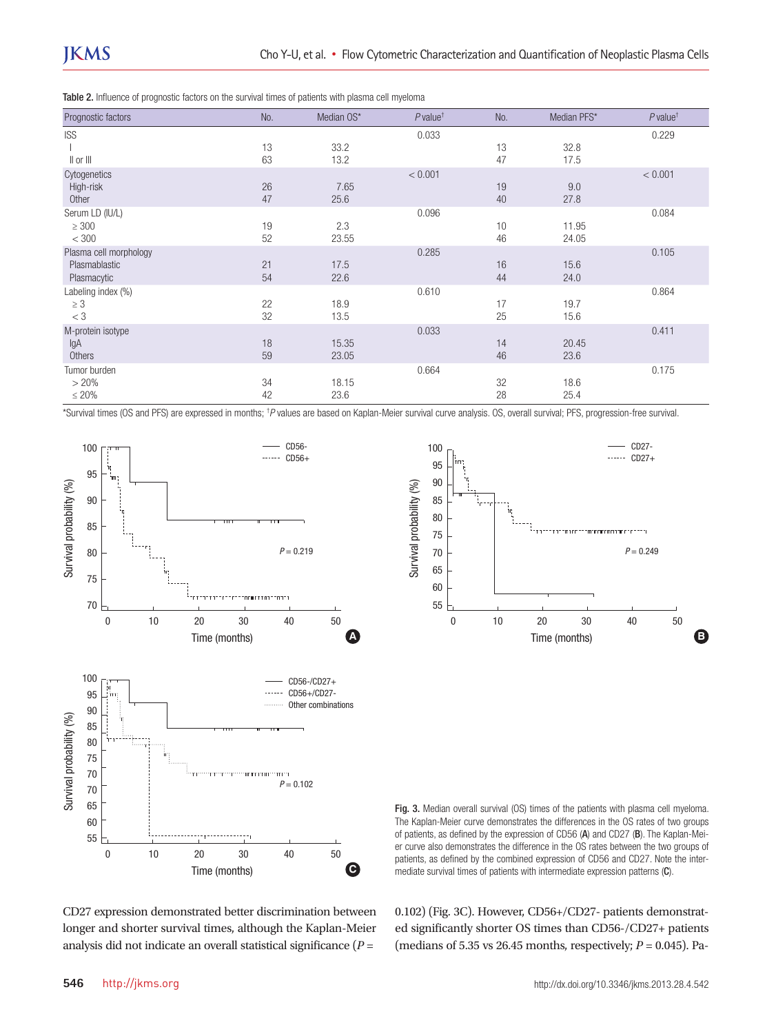Table 2. Influence of prognostic factors on the survival times of patients with plasma cell myeloma

| Prognostic factors     | No. | Median OS* | $P$ value <sup><math>\dagger</math></sup> | No. | Median PFS* | $P$ value <sup><math>\dagger</math></sup> |
|------------------------|-----|------------|-------------------------------------------|-----|-------------|-------------------------------------------|
| <b>ISS</b>             |     |            | 0.033                                     |     |             | 0.229                                     |
|                        | 13  | 33.2       |                                           | 13  | 32.8        |                                           |
| II or III              | 63  | 13.2       |                                           | 47  | 17.5        |                                           |
| Cytogenetics           |     |            | < 0.001                                   |     |             | < 0.001                                   |
| High-risk              | 26  | 7.65       |                                           | 19  | 9.0         |                                           |
| Other                  | 47  | 25.6       |                                           | 40  | 27.8        |                                           |
| Serum LD (IU/L)        |     |            | 0.096                                     |     |             | 0.084                                     |
| $\geq 300$             | 19  | 2.3        |                                           | 10  | 11.95       |                                           |
| $<$ 300                | 52  | 23.55      |                                           | 46  | 24.05       |                                           |
| Plasma cell morphology |     |            | 0.285                                     |     |             | 0.105                                     |
| Plasmablastic          | 21  | 17.5       |                                           | 16  | 15.6        |                                           |
| Plasmacytic            | 54  | 22.6       |                                           | 44  | 24.0        |                                           |
| Labeling index (%)     |     |            | 0.610                                     |     |             | 0.864                                     |
| $\geq 3$               | 22  | 18.9       |                                           | 17  | 19.7        |                                           |
| $<$ 3                  | 32  | 13.5       |                                           | 25  | 15.6        |                                           |
| M-protein isotype      |     |            | 0.033                                     |     |             | 0.411                                     |
| lgA                    | 18  | 15.35      |                                           | 14  | 20.45       |                                           |
| Others                 | 59  | 23.05      |                                           | 46  | 23.6        |                                           |
| Tumor burden           |     |            | 0.664                                     |     |             | 0.175                                     |
| $> 20\%$               | 34  | 18.15      |                                           | 32  | 18.6        |                                           |
| $\leq 20\%$            | 42  | 23.6       |                                           | 28  | 25.4        |                                           |

\*Survival times (OS and PFS) are expressed in months; <sup>†</sup>P values are based on Kaplan-Meier survival curve analysis. OS, overall survival; PFS, progression-free survival.





Fig. 3. Median overall survival (OS) times of the patients with plasma cell myeloma. The Kaplan-Meier curve demonstrates the differences in the OS rates of two groups of patients, as defined by the expression of CD56 (A) and CD27 (B). The Kaplan-Meier curve also demonstrates the difference in the OS rates between the two groups of patients, as defined by the combined expression of CD56 and CD27. Note the intermediate survival times of patients with intermediate expression patterns (C).

CD27 expression demonstrated better discrimination between longer and shorter survival times, although the Kaplan-Meier analysis did not indicate an overall statistical significance (*P* =

0.102) (Fig. 3C). However, CD56+/CD27- patients demonstrated significantly shorter OS times than CD56-/CD27+ patients (medians of 5.35 vs 26.45 months, respectively;  $P = 0.045$ ). Pa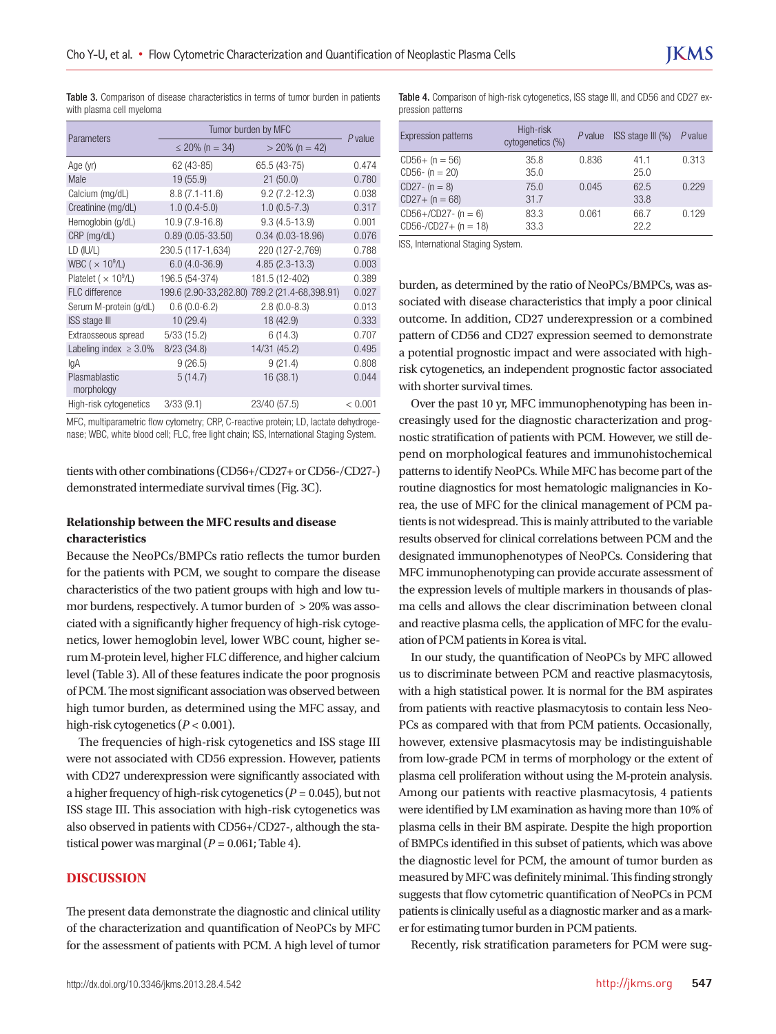Table 3. Comparison of disease characteristics in terms of tumor burden in patients with plasma cell myeloma

|                                         | Tumor burden by MFC  |                                               |           |  |
|-----------------------------------------|----------------------|-----------------------------------------------|-----------|--|
| Parameters                              | $\leq$ 20% (n = 34)  | $>$ 20% (n = 42)                              | $P$ value |  |
| Age (yr)                                | 62 (43-85)           | 65.5 (43-75)                                  | 0.474     |  |
| Male                                    | 19 (55.9)            | 21(50.0)                                      | 0.780     |  |
| Calcium (mg/dL)                         | $8.8(7.1 - 11.6)$    | $9.2(7.2 - 12.3)$                             | 0.038     |  |
| Creatinine (mg/dL)                      | $1.0(0.4-5.0)$       | $1.0(0.5-7.3)$                                | 0.317     |  |
| Hemoglobin (g/dL)                       | 10.9 (7.9-16.8)      | $9.3(4.5-13.9)$                               | 0.001     |  |
| CRP (mg/dL)                             | $0.89(0.05 - 33.50)$ | $0.34(0.03 - 18.96)$                          | 0.076     |  |
| LD (IU/L)                               | 230.5 (117-1,634)    | 220 (127-2,769)                               | 0.788     |  |
| WBC ( $\times$ 10 <sup>9</sup> /L)      | $6.0(4.0-36.9)$      | $4.85(2.3-13.3)$                              | 0.003     |  |
| Platelet ( $\times$ 10 <sup>9</sup> /L) | 196.5 (54-374)       | 181.5 (12-402)                                | 0.389     |  |
| <b>FLC</b> difference                   |                      | 199.6 (2.90-33,282.80) 789.2 (21.4-68,398.91) | 0.027     |  |
| Serum M-protein (g/dL)                  | $0.6(0.0-6.2)$       | $2.8(0.0-8.3)$                                | 0.013     |  |
| <b>ISS stage III</b>                    | 10(29.4)             | 18 (42.9)                                     | 0.333     |  |
| Extraosseous spread                     | 5/33(15.2)           | 6(14.3)                                       | 0.707     |  |
| Labeling index $\geq 3.0\%$             | 8/23(34.8)           | 14/31 (45.2)                                  | 0.495     |  |
| lgA                                     | 9(26.5)              | 9(21.4)                                       | 0.808     |  |
| Plasmablastic<br>morphology             | 5(14.7)              | 16 (38.1)                                     | 0.044     |  |
| High-risk cytogenetics                  | 3/33(9.1)            | 23/40 (57.5)                                  | < 0.001   |  |

MFC, multiparametric flow cytometry; CRP, C-reactive protein; LD, lactate dehydrogenase; WBC, white blood cell; FLC, free light chain; ISS, International Staging System.

tients with other combinations (CD56+/CD27+ or CD56-/CD27-) demonstrated intermediate survival times (Fig. 3C).

#### **Relationship between the MFC results and disease characteristics**

Because the NeoPCs/BMPCs ratio reflects the tumor burden for the patients with PCM, we sought to compare the disease characteristics of the two patient groups with high and low tumor burdens, respectively. A tumor burden of > 20% was associated with a significantly higher frequency of high-risk cytogenetics, lower hemoglobin level, lower WBC count, higher serum M-protein level, higher FLC difference, and higher calcium level (Table 3). All of these features indicate the poor prognosis of PCM. The most significant association was observed between high tumor burden, as determined using the MFC assay, and high-risk cytogenetics (*P* < 0.001).

The frequencies of high-risk cytogenetics and ISS stage III were not associated with CD56 expression. However, patients with CD27 underexpression were significantly associated with a higher frequency of high-risk cytogenetics ( $P = 0.045$ ), but not ISS stage III. This association with high-risk cytogenetics was also observed in patients with CD56+/CD27-, although the statistical power was marginal  $(P = 0.061;$  Table 4).

# **DISCUSSION**

The present data demonstrate the diagnostic and clinical utility of the characterization and quantification of NeoPCs by MFC for the assessment of patients with PCM. A high level of tumor

Table 4. Comparison of high-risk cytogenetics, ISS stage III, and CD56 and CD27 expression patterns

| <b>Expression patterns</b>                         | High-risk<br>cytogenetics (%) | P value | ISS stage III (%) | P value |
|----------------------------------------------------|-------------------------------|---------|-------------------|---------|
| $CD56+ (n = 56)$<br>$CD56 - (n = 20)$              | 35.8<br>35.0                  | 0.836   | 41.1<br>25.0      | 0.313   |
| $CD27 - (n = 8)$<br>$CD27 + (n = 68)$              | 75.0<br>31.7                  | 0.045   | 62.5<br>33.8      | 0.229   |
| $CD56+/CD27- (n = 6)$<br>$CD56 - /CD27 + (n = 18)$ | 83.3<br>33.3                  | 0.061   | 66.7<br>22.2      | 0.129   |

ISS, International Staging System.

burden, as determined by the ratio of NeoPCs/BMPCs, was associated with disease characteristics that imply a poor clinical outcome. In addition, CD27 underexpression or a combined pattern of CD56 and CD27 expression seemed to demonstrate a potential prognostic impact and were associated with highrisk cytogenetics, an independent prognostic factor associated with shorter survival times.

Over the past 10 yr, MFC immunophenotyping has been increasingly used for the diagnostic characterization and prognostic stratification of patients with PCM. However, we still depend on morphological features and immunohistochemical patterns to identify NeoPCs. While MFC has become part of the routine diagnostics for most hematologic malignancies in Korea, the use of MFC for the clinical management of PCM patients is not widespread. This is mainly attributed to the variable results observed for clinical correlations between PCM and the designated immunophenotypes of NeoPCs. Considering that MFC immunophenotyping can provide accurate assessment of the expression levels of multiple markers in thousands of plasma cells and allows the clear discrimination between clonal and reactive plasma cells, the application of MFC for the evaluation of PCM patients in Korea is vital.

In our study, the quantification of NeoPCs by MFC allowed us to discriminate between PCM and reactive plasmacytosis, with a high statistical power. It is normal for the BM aspirates from patients with reactive plasmacytosis to contain less Neo-PCs as compared with that from PCM patients. Occasionally, however, extensive plasmacytosis may be indistinguishable from low-grade PCM in terms of morphology or the extent of plasma cell proliferation without using the M-protein analysis. Among our patients with reactive plasmacytosis, 4 patients were identified by LM examination as having more than 10% of plasma cells in their BM aspirate. Despite the high proportion of BMPCs identified in this subset of patients, which was above the diagnostic level for PCM, the amount of tumor burden as measured by MFC was definitely minimal. This finding strongly suggests that flow cytometric quantification of NeoPCs in PCM patients is clinically useful as a diagnostic marker and as a marker for estimating tumor burden in PCM patients.

Recently, risk stratification parameters for PCM were sug-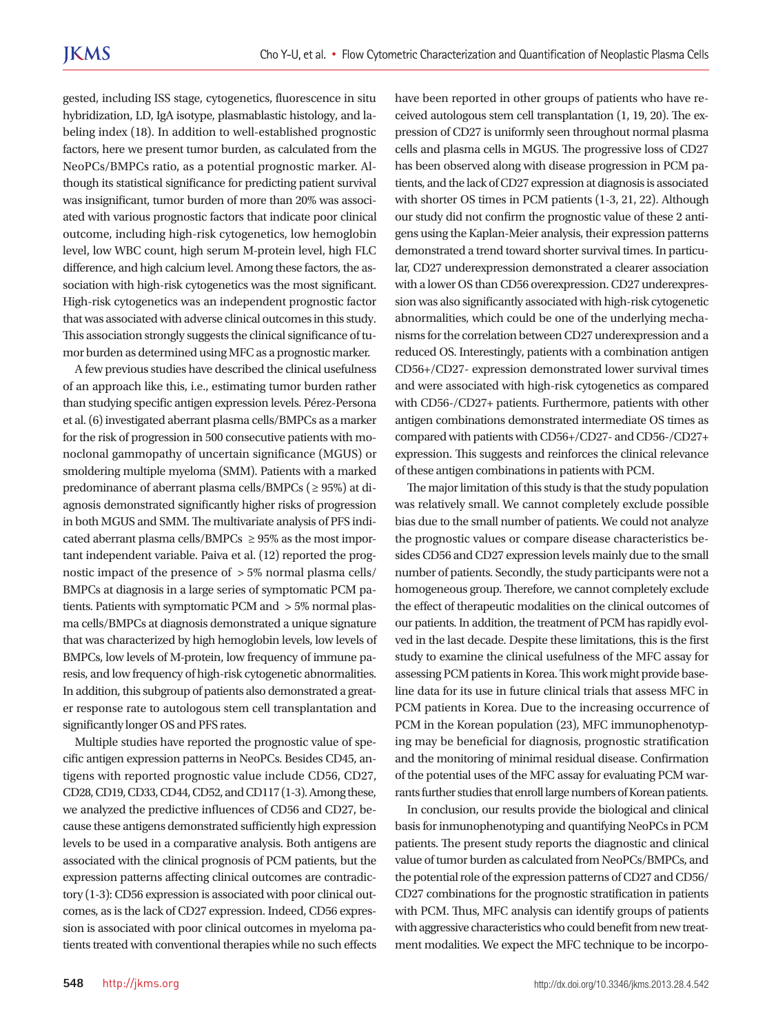gested, including ISS stage, cytogenetics, fluorescence in situ hybridization, LD, IgA isotype, plasmablastic histology, and labeling index (18). In addition to well-established prognostic factors, here we present tumor burden, as calculated from the NeoPCs/BMPCs ratio, as a potential prognostic marker. Although its statistical significance for predicting patient survival was insignificant, tumor burden of more than 20% was associated with various prognostic factors that indicate poor clinical outcome, including high-risk cytogenetics, low hemoglobin level, low WBC count, high serum M-protein level, high FLC difference, and high calcium level. Among these factors, the association with high-risk cytogenetics was the most significant. High-risk cytogenetics was an independent prognostic factor that was associated with adverse clinical outcomes in this study. This association strongly suggests the clinical significance of tumor burden as determined using MFC as a prognostic marker.

A few previous studies have described the clinical usefulness of an approach like this, i.e., estimating tumor burden rather than studying specific antigen expression levels. Pérez-Persona et al. (6) investigated aberrant plasma cells/BMPCs as a marker for the risk of progression in 500 consecutive patients with monoclonal gammopathy of uncertain significance (MGUS) or smoldering multiple myeloma (SMM). Patients with a marked predominance of aberrant plasma cells/BMPCs ( $\geq$  95%) at diagnosis demonstrated significantly higher risks of progression in both MGUS and SMM. The multivariate analysis of PFS indicated aberrant plasma cells/BMPCs  $\geq$  95% as the most important independent variable. Paiva et al. (12) reported the prognostic impact of the presence of > 5% normal plasma cells/ BMPCs at diagnosis in a large series of symptomatic PCM patients. Patients with symptomatic PCM and > 5% normal plasma cells/BMPCs at diagnosis demonstrated a unique signature that was characterized by high hemoglobin levels, low levels of BMPCs, low levels of M-protein, low frequency of immune paresis, and low frequency of high-risk cytogenetic abnormalities. In addition, this subgroup of patients also demonstrated a greater response rate to autologous stem cell transplantation and significantly longer OS and PFS rates.

Multiple studies have reported the prognostic value of specific antigen expression patterns in NeoPCs. Besides CD45, antigens with reported prognostic value include CD56, CD27, CD28, CD19, CD33, CD44, CD52, and CD117 (1-3). Among these, we analyzed the predictive influences of CD56 and CD27, because these antigens demonstrated sufficiently high expression levels to be used in a comparative analysis. Both antigens are associated with the clinical prognosis of PCM patients, but the expression patterns affecting clinical outcomes are contradictory (1-3): CD56 expression is associated with poor clinical outcomes, as is the lack of CD27 expression. Indeed, CD56 expression is associated with poor clinical outcomes in myeloma patients treated with conventional therapies while no such effects have been reported in other groups of patients who have received autologous stem cell transplantation (1, 19, 20). The expression of CD27 is uniformly seen throughout normal plasma cells and plasma cells in MGUS. The progressive loss of CD27 has been observed along with disease progression in PCM patients, and the lack of CD27 expression at diagnosis is associated with shorter OS times in PCM patients (1-3, 21, 22). Although our study did not confirm the prognostic value of these 2 antigens using the Kaplan-Meier analysis, their expression patterns demonstrated a trend toward shorter survival times. In particular, CD27 underexpression demonstrated a clearer association with a lower OS than CD56 overexpression. CD27 underexpression was also significantly associated with high-risk cytogenetic abnormalities, which could be one of the underlying mechanisms for the correlation between CD27 underexpression and a reduced OS. Interestingly, patients with a combination antigen CD56+/CD27- expression demonstrated lower survival times and were associated with high-risk cytogenetics as compared with CD56-/CD27+ patients. Furthermore, patients with other antigen combinations demonstrated intermediate OS times as compared with patients with CD56+/CD27- and CD56-/CD27+ expression. This suggests and reinforces the clinical relevance of these antigen combinations in patients with PCM.

The major limitation of this study is that the study population was relatively small. We cannot completely exclude possible bias due to the small number of patients. We could not analyze the prognostic values or compare disease characteristics besides CD56 and CD27 expression levels mainly due to the small number of patients. Secondly, the study participants were not a homogeneous group. Therefore, we cannot completely exclude the effect of therapeutic modalities on the clinical outcomes of our patients. In addition, the treatment of PCM has rapidly evolved in the last decade. Despite these limitations, this is the first study to examine the clinical usefulness of the MFC assay for assessing PCM patients in Korea. This work might provide baseline data for its use in future clinical trials that assess MFC in PCM patients in Korea. Due to the increasing occurrence of PCM in the Korean population (23), MFC immunophenotyping may be beneficial for diagnosis, prognostic stratification and the monitoring of minimal residual disease. Confirmation of the potential uses of the MFC assay for evaluating PCM warrants further studies that enroll large numbers of Korean patients.

In conclusion, our results provide the biological and clinical basis for inmunophenotyping and quantifying NeoPCs in PCM patients. The present study reports the diagnostic and clinical value of tumor burden as calculated from NeoPCs/BMPCs, and the potential role of the expression patterns of CD27 and CD56/ CD27 combinations for the prognostic stratification in patients with PCM. Thus, MFC analysis can identify groups of patients with aggressive characteristics who could benefit from new treatment modalities. We expect the MFC technique to be incorpo